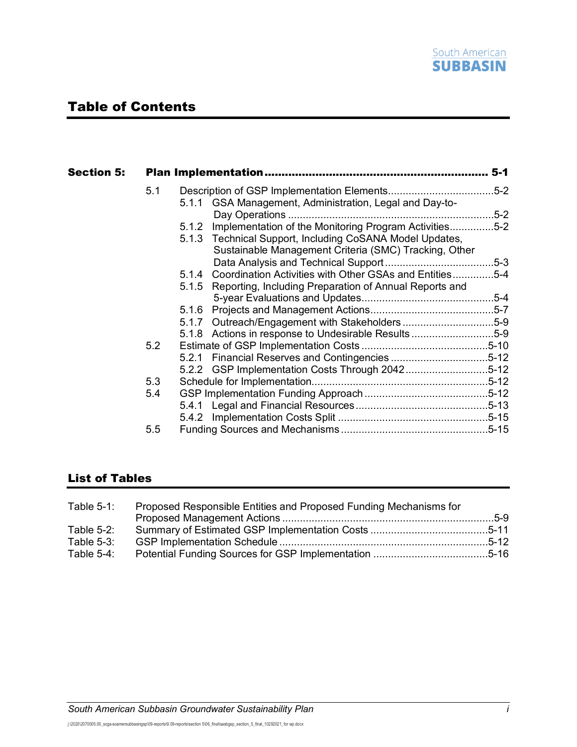

# Table of Contents

| Section 5: |     |                                                               |  |
|------------|-----|---------------------------------------------------------------|--|
|            | 5.1 |                                                               |  |
|            |     | 5.1.1 GSA Management, Administration, Legal and Day-to-       |  |
|            |     |                                                               |  |
|            |     | 5.1.2 Implementation of the Monitoring Program Activities5-2  |  |
|            |     | 5.1.3 Technical Support, Including CoSANA Model Updates,      |  |
|            |     | Sustainable Management Criteria (SMC) Tracking, Other         |  |
|            |     |                                                               |  |
|            |     | 5.1.4 Coordination Activities with Other GSAs and Entities5-4 |  |
|            |     | 5.1.5 Reporting, Including Preparation of Annual Reports and  |  |
|            |     |                                                               |  |
|            |     | 5.1.6                                                         |  |
|            |     | 5.1.7 Outreach/Engagement with Stakeholders5-9                |  |
|            |     | 5.1.8 Actions in response to Undesirable Results5-9           |  |
|            | 5.2 |                                                               |  |
|            |     |                                                               |  |
|            |     | 5.2.2 GSP Implementation Costs Through 20425-12               |  |
|            | 5.3 |                                                               |  |
|            | 5.4 |                                                               |  |
|            |     |                                                               |  |
|            |     |                                                               |  |
|            | 5.5 |                                                               |  |
|            |     |                                                               |  |

## List of Tables

| Table $5-1$ : | Proposed Responsible Entities and Proposed Funding Mechanisms for |  |
|---------------|-------------------------------------------------------------------|--|
|               |                                                                   |  |
| Table $5-2$ : |                                                                   |  |
| Table $5-3$ : |                                                                   |  |
| Table $5-4$ : |                                                                   |  |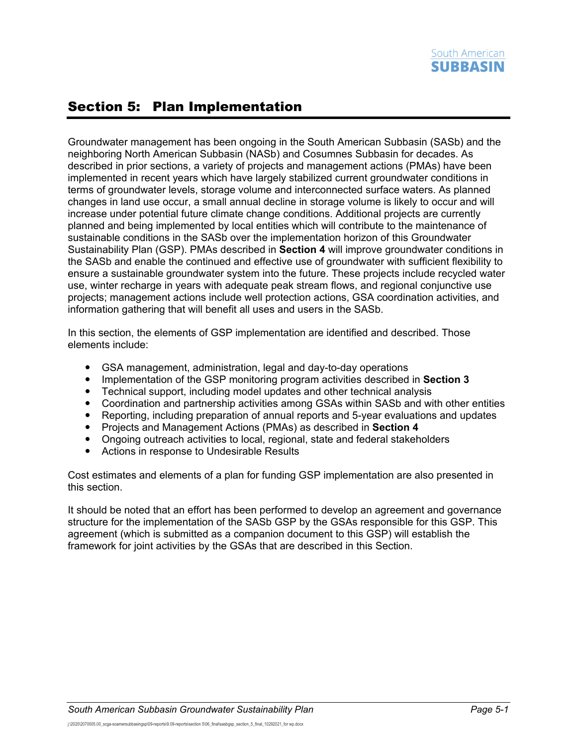# <span id="page-1-0"></span>Section 5: Plan Implementation

Groundwater management has been ongoing in the South American Subbasin (SASb) and the neighboring North American Subbasin (NASb) and Cosumnes Subbasin for decades. As described in prior sections, a variety of projects and management actions (PMAs) have been implemented in recent years which have largely stabilized current groundwater conditions in terms of groundwater levels, storage volume and interconnected surface waters. As planned changes in land use occur, a small annual decline in storage volume is likely to occur and will increase under potential future climate change conditions. Additional projects are currently planned and being implemented by local entities which will contribute to the maintenance of sustainable conditions in the SASb over the implementation horizon of this Groundwater Sustainability Plan (GSP). PMAs described in **Section 4** will improve groundwater conditions in the SASb and enable the continued and effective use of groundwater with sufficient flexibility to ensure a sustainable groundwater system into the future. These projects include recycled water use, winter recharge in years with adequate peak stream flows, and regional conjunctive use projects; management actions include well protection actions, GSA coordination activities, and information gathering that will benefit all uses and users in the SASb.

In this section, the elements of GSP implementation are identified and described. Those elements include:

- GSA management, administration, legal and day-to-day operations
- Implementation of the GSP monitoring program activities described in **Section 3**
- Technical support, including model updates and other technical analysis
- Coordination and partnership activities among GSAs within SASb and with other entities
- Reporting, including preparation of annual reports and 5-year evaluations and updates
- Projects and Management Actions (PMAs) as described in **Section 4**
- Ongoing outreach activities to local, regional, state and federal stakeholders
- Actions in response to Undesirable Results

Cost estimates and elements of a plan for funding GSP implementation are also presented in this section.

It should be noted that an effort has been performed to develop an agreement and governance structure for the implementation of the SASb GSP by the GSAs responsible for this GSP. This agreement (which is submitted as a companion document to this GSP) will establish the framework for joint activities by the GSAs that are described in this Section.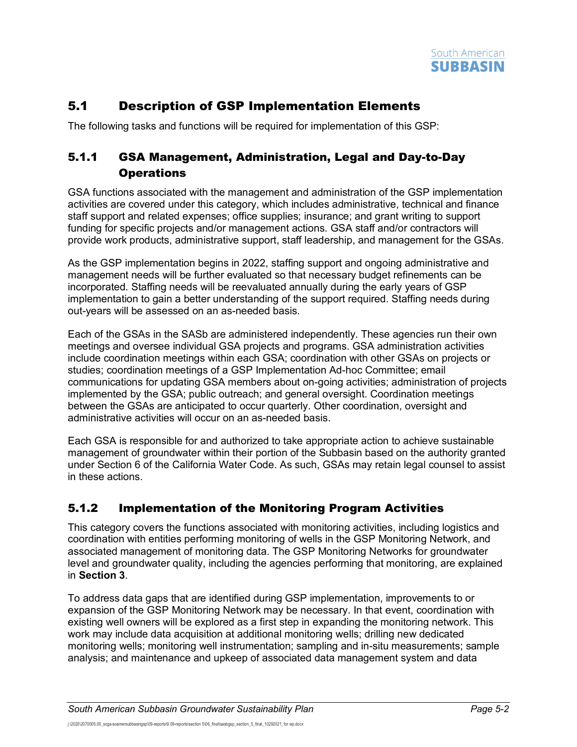

## <span id="page-2-0"></span>5.1 Description of GSP Implementation Elements

The following tasks and functions will be required for implementation of this GSP:

## <span id="page-2-1"></span>5.1.1 GSA Management, Administration, Legal and Day-to-Day **Operations**

GSA functions associated with the management and administration of the GSP implementation activities are covered under this category, which includes administrative, technical and finance staff support and related expenses; office supplies; insurance; and grant writing to support funding for specific projects and/or management actions. GSA staff and/or contractors will provide work products, administrative support, staff leadership, and management for the GSAs.

As the GSP implementation begins in 2022, staffing support and ongoing administrative and management needs will be further evaluated so that necessary budget refinements can be incorporated. Staffing needs will be reevaluated annually during the early years of GSP implementation to gain a better understanding of the support required. Staffing needs during out-years will be assessed on an as-needed basis.

Each of the GSAs in the SASb are administered independently. These agencies run their own meetings and oversee individual GSA projects and programs. GSA administration activities include coordination meetings within each GSA; coordination with other GSAs on projects or studies; coordination meetings of a GSP Implementation Ad-hoc Committee; email communications for updating GSA members about on-going activities; administration of projects implemented by the GSA; public outreach; and general oversight. Coordination meetings between the GSAs are anticipated to occur quarterly. Other coordination, oversight and administrative activities will occur on an as-needed basis.

Each GSA is responsible for and authorized to take appropriate action to achieve sustainable management of groundwater within their portion of the Subbasin based on the authority granted under Section 6 of the California Water Code. As such, GSAs may retain legal counsel to assist in these actions.

## <span id="page-2-2"></span>5.1.2 Implementation of the Monitoring Program Activities

This category covers the functions associated with monitoring activities, including logistics and coordination with entities performing monitoring of wells in the GSP Monitoring Network, and associated management of monitoring data. The GSP Monitoring Networks for groundwater level and groundwater quality, including the agencies performing that monitoring, are explained in **Section 3**.

To address data gaps that are identified during GSP implementation, improvements to or expansion of the GSP Monitoring Network may be necessary. In that event, coordination with existing well owners will be explored as a first step in expanding the monitoring network. This work may include data acquisition at additional monitoring wells; drilling new dedicated monitoring wells; monitoring well instrumentation; sampling and in-situ measurements; sample analysis; and maintenance and upkeep of associated data management system and data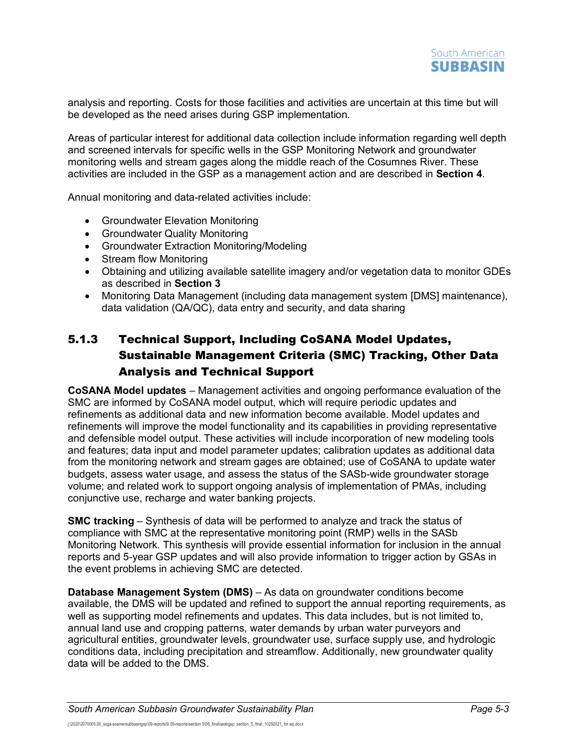analysis and reporting. Costs for those facilities and activities are uncertain at this time but will be developed as the need arises during GSP implementation.

Areas of particular interest for additional data collection include information regarding well depth and screened intervals for specific wells in the GSP Monitoring Network and groundwater monitoring wells and stream gages along the middle reach of the Cosumnes River. These activities are included in the GSP as a management action and are described in **Section 4**.

Annual monitoring and data-related activities include:

- Groundwater Elevation Monitoring
- Groundwater Quality Monitoring
- Groundwater Extraction Monitoring/Modeling
- Stream flow Monitoring
- Obtaining and utilizing available satellite imagery and/or vegetation data to monitor GDEs as described in **Section 3**
- Monitoring Data Management (including data management system [DMS] maintenance), data validation (QA/QC), data entry and security, and data sharing

## <span id="page-3-0"></span>5.1.3 Technical Support, Including CoSANA Model Updates, Sustainable Management Criteria (SMC) Tracking, Other Data Analysis and Technical Support

**CoSANA Model updates** – Management activities and ongoing performance evaluation of the SMC are informed by CoSANA model output, which will require periodic updates and refinements as additional data and new information become available. Model updates and refinements will improve the model functionality and its capabilities in providing representative and defensible model output. These activities will include incorporation of new modeling tools and features; data input and model parameter updates; calibration updates as additional data from the monitoring network and stream gages are obtained; use of CoSANA to update water budgets, assess water usage, and assess the status of the SASb-wide groundwater storage volume; and related work to support ongoing analysis of implementation of PMAs, including conjunctive use, recharge and water banking projects.

**SMC tracking** – Synthesis of data will be performed to analyze and track the status of compliance with SMC at the representative monitoring point (RMP) wells in the SASb Monitoring Network. This synthesis will provide essential information for inclusion in the annual reports and 5-year GSP updates and will also provide information to trigger action by GSAs in the event problems in achieving SMC are detected.

**Database Management System (DMS)** – As data on groundwater conditions become available, the DMS will be updated and refined to support the annual reporting requirements, as well as supporting model refinements and updates. This data includes, but is not limited to, annual land use and cropping patterns, water demands by urban water purveyors and agricultural entities, groundwater levels, groundwater use, surface supply use, and hydrologic conditions data, including precipitation and streamflow. Additionally, new groundwater quality data will be added to the DMS.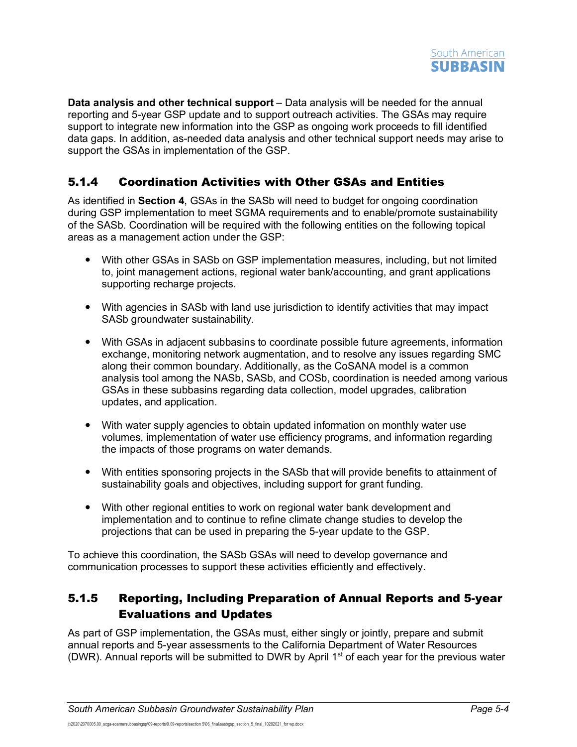

**Data analysis and other technical support** – Data analysis will be needed for the annual reporting and 5-year GSP update and to support outreach activities. The GSAs may require support to integrate new information into the GSP as ongoing work proceeds to fill identified data gaps. In addition, as-needed data analysis and other technical support needs may arise to support the GSAs in implementation of the GSP.

## <span id="page-4-0"></span>5.1.4 Coordination Activities with Other GSAs and Entities

As identified in **Section 4**, GSAs in the SASb will need to budget for ongoing coordination during GSP implementation to meet SGMA requirements and to enable/promote sustainability of the SASb. Coordination will be required with the following entities on the following topical areas as a management action under the GSP:

- With other GSAs in SASb on GSP implementation measures, including, but not limited to, joint management actions, regional water bank/accounting, and grant applications supporting recharge projects.
- With agencies in SASb with land use jurisdiction to identify activities that may impact SASb groundwater sustainability.
- With GSAs in adjacent subbasins to coordinate possible future agreements, information exchange, monitoring network augmentation, and to resolve any issues regarding SMC along their common boundary. Additionally, as the CoSANA model is a common analysis tool among the NASb, SASb, and COSb, coordination is needed among various GSAs in these subbasins regarding data collection, model upgrades, calibration updates, and application.
- With water supply agencies to obtain updated information on monthly water use volumes, implementation of water use efficiency programs, and information regarding the impacts of those programs on water demands.
- With entities sponsoring projects in the SASb that will provide benefits to attainment of sustainability goals and objectives, including support for grant funding.
- With other regional entities to work on regional water bank development and implementation and to continue to refine climate change studies to develop the projections that can be used in preparing the 5-year update to the GSP.

To achieve this coordination, the SASb GSAs will need to develop governance and communication processes to support these activities efficiently and effectively.

## <span id="page-4-1"></span>5.1.5 Reporting, Including Preparation of Annual Reports and 5-year Evaluations and Updates

As part of GSP implementation, the GSAs must, either singly or jointly, prepare and submit annual reports and 5-year assessments to the California Department of Water Resources (DWR). Annual reports will be submitted to DWR by April 1<sup>st</sup> of each year for the previous water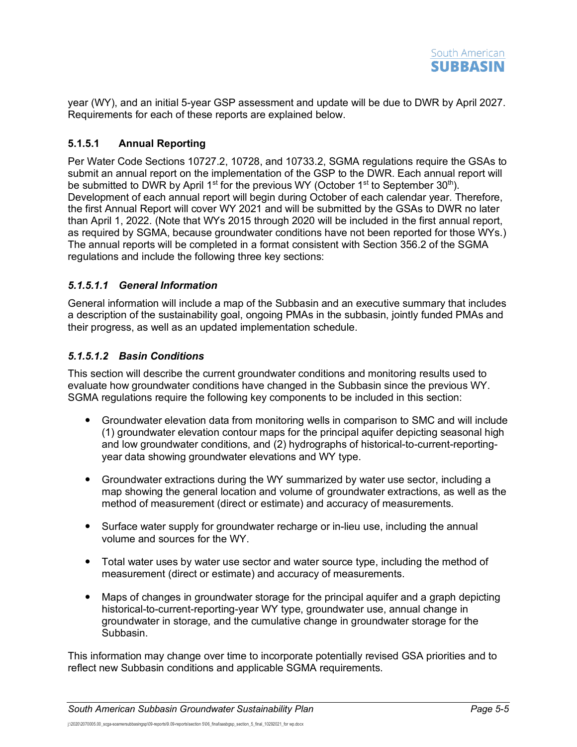

year (WY), and an initial 5-year GSP assessment and update will be due to DWR by April 2027. Requirements for each of these reports are explained below.

#### **5.1.5.1 Annual Reporting**

Per Water Code Sections 10727.2, 10728, and 10733.2, SGMA regulations require the GSAs to submit an annual report on the implementation of the GSP to the DWR. Each annual report will be submitted to DWR by April 1<sup>st</sup> for the previous WY (October 1<sup>st</sup> to September 30<sup>th</sup>). Development of each annual report will begin during October of each calendar year. Therefore, the first Annual Report will cover WY 2021 and will be submitted by the GSAs to DWR no later than April 1, 2022. (Note that WYs 2015 through 2020 will be included in the first annual report, as required by SGMA, because groundwater conditions have not been reported for those WYs.) The annual reports will be completed in a format consistent with Section 356.2 of the SGMA regulations and include the following three key sections:

#### *5.1.5.1.1 General Information*

General information will include a map of the Subbasin and an executive summary that includes a description of the sustainability goal, ongoing PMAs in the subbasin, jointly funded PMAs and their progress, as well as an updated implementation schedule.

#### *5.1.5.1.2 Basin Conditions*

This section will describe the current groundwater conditions and monitoring results used to evaluate how groundwater conditions have changed in the Subbasin since the previous WY. SGMA regulations require the following key components to be included in this section:

- Groundwater elevation data from monitoring wells in comparison to SMC and will include (1) groundwater elevation contour maps for the principal aquifer depicting seasonal high and low groundwater conditions, and (2) hydrographs of historical-to-current-reportingyear data showing groundwater elevations and WY type.
- Groundwater extractions during the WY summarized by water use sector, including a map showing the general location and volume of groundwater extractions, as well as the method of measurement (direct or estimate) and accuracy of measurements.
- Surface water supply for groundwater recharge or in-lieu use, including the annual volume and sources for the WY.
- Total water uses by water use sector and water source type, including the method of measurement (direct or estimate) and accuracy of measurements.
- Maps of changes in groundwater storage for the principal aquifer and a graph depicting historical-to-current-reporting-year WY type, groundwater use, annual change in groundwater in storage, and the cumulative change in groundwater storage for the Subbasin.

This information may change over time to incorporate potentially revised GSA priorities and to reflect new Subbasin conditions and applicable SGMA requirements.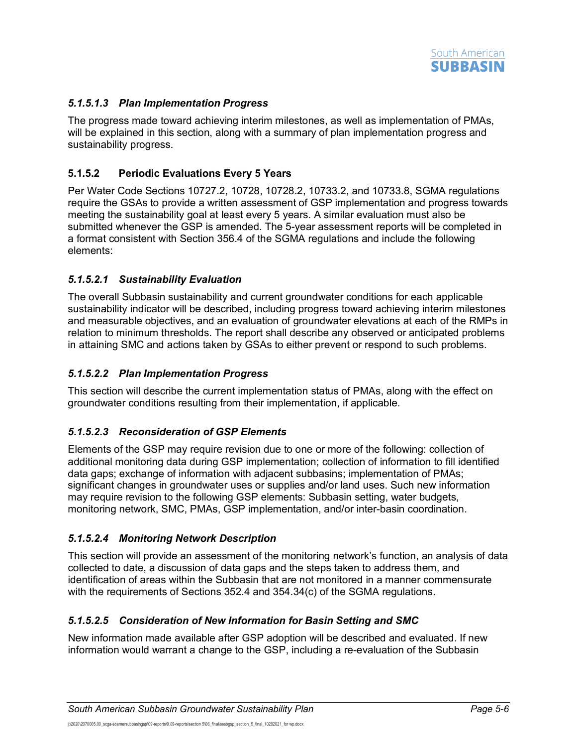

#### *5.1.5.1.3 Plan Implementation Progress*

The progress made toward achieving interim milestones, as well as implementation of PMAs, will be explained in this section, along with a summary of plan implementation progress and sustainability progress.

#### **5.1.5.2 Periodic Evaluations Every 5 Years**

Per Water Code Sections 10727.2, 10728, 10728.2, 10733.2, and 10733.8, SGMA regulations require the GSAs to provide a written assessment of GSP implementation and progress towards meeting the sustainability goal at least every 5 years. A similar evaluation must also be submitted whenever the GSP is amended. The 5-year assessment reports will be completed in a format consistent with Section 356.4 of the SGMA regulations and include the following elements:

#### *5.1.5.2.1 Sustainability Evaluation*

The overall Subbasin sustainability and current groundwater conditions for each applicable sustainability indicator will be described, including progress toward achieving interim milestones and measurable objectives, and an evaluation of groundwater elevations at each of the RMPs in relation to minimum thresholds. The report shall describe any observed or anticipated problems in attaining SMC and actions taken by GSAs to either prevent or respond to such problems.

#### *5.1.5.2.2 Plan Implementation Progress*

This section will describe the current implementation status of PMAs, along with the effect on groundwater conditions resulting from their implementation, if applicable.

#### *5.1.5.2.3 Reconsideration of GSP Elements*

Elements of the GSP may require revision due to one or more of the following: collection of additional monitoring data during GSP implementation; collection of information to fill identified data gaps; exchange of information with adjacent subbasins; implementation of PMAs; significant changes in groundwater uses or supplies and/or land uses. Such new information may require revision to the following GSP elements: Subbasin setting, water budgets, monitoring network, SMC, PMAs, GSP implementation, and/or inter-basin coordination.

#### *5.1.5.2.4 Monitoring Network Description*

This section will provide an assessment of the monitoring network's function, an analysis of data collected to date, a discussion of data gaps and the steps taken to address them, and identification of areas within the Subbasin that are not monitored in a manner commensurate with the requirements of Sections 352.4 and 354.34(c) of the SGMA regulations.

#### *5.1.5.2.5 Consideration of New Information for Basin Setting and SMC*

New information made available after GSP adoption will be described and evaluated. If new information would warrant a change to the GSP, including a re-evaluation of the Subbasin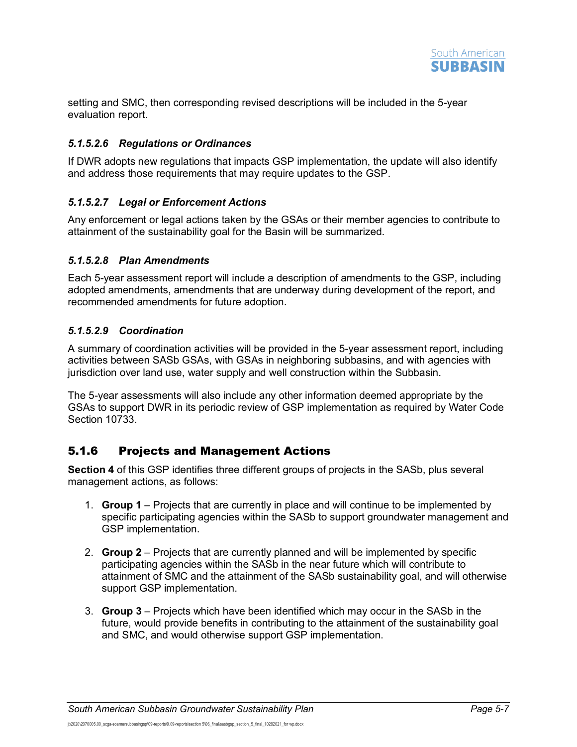

setting and SMC, then corresponding revised descriptions will be included in the 5-year evaluation report.

#### *5.1.5.2.6 Regulations or Ordinances*

If DWR adopts new regulations that impacts GSP implementation, the update will also identify and address those requirements that may require updates to the GSP.

#### *5.1.5.2.7 Legal or Enforcement Actions*

Any enforcement or legal actions taken by the GSAs or their member agencies to contribute to attainment of the sustainability goal for the Basin will be summarized.

#### *5.1.5.2.8 Plan Amendments*

Each 5-year assessment report will include a description of amendments to the GSP, including adopted amendments, amendments that are underway during development of the report, and recommended amendments for future adoption.

#### *5.1.5.2.9 Coordination*

A summary of coordination activities will be provided in the 5-year assessment report, including activities between SASb GSAs, with GSAs in neighboring subbasins, and with agencies with jurisdiction over land use, water supply and well construction within the Subbasin.

The 5-year assessments will also include any other information deemed appropriate by the GSAs to support DWR in its periodic review of GSP implementation as required by Water Code Section 10733.

## <span id="page-7-0"></span>5.1.6 Projects and Management Actions

**Section 4** of this GSP identifies three different groups of projects in the SASb, plus several management actions, as follows:

- 1. **Group 1** Projects that are currently in place and will continue to be implemented by specific participating agencies within the SASb to support groundwater management and GSP implementation.
- 2. **Group 2** Projects that are currently planned and will be implemented by specific participating agencies within the SASb in the near future which will contribute to attainment of SMC and the attainment of the SASb sustainability goal, and will otherwise support GSP implementation.
- 3. **Group 3** Projects which have been identified which may occur in the SASb in the future, would provide benefits in contributing to the attainment of the sustainability goal and SMC, and would otherwise support GSP implementation.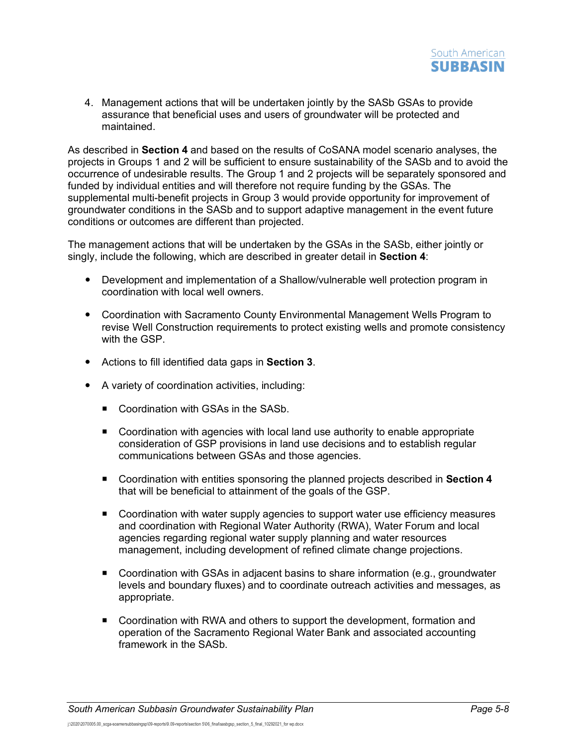4. Management actions that will be undertaken jointly by the SASb GSAs to provide assurance that beneficial uses and users of groundwater will be protected and maintained.

As described in **Section 4** and based on the results of CoSANA model scenario analyses, the projects in Groups 1 and 2 will be sufficient to ensure sustainability of the SASb and to avoid the occurrence of undesirable results. The Group 1 and 2 projects will be separately sponsored and funded by individual entities and will therefore not require funding by the GSAs. The supplemental multi-benefit projects in Group 3 would provide opportunity for improvement of groundwater conditions in the SASb and to support adaptive management in the event future conditions or outcomes are different than projected.

The management actions that will be undertaken by the GSAs in the SASb, either jointly or singly, include the following, which are described in greater detail in **Section 4**:

- Development and implementation of a Shallow/vulnerable well protection program in coordination with local well owners.
- Coordination with Sacramento County Environmental Management Wells Program to revise Well Construction requirements to protect existing wells and promote consistency with the GSP.
- Actions to fill identified data gaps in **Section 3**.
- A variety of coordination activities, including:
	- Coordination with GSAs in the SASb.
	- Coordination with agencies with local land use authority to enable appropriate consideration of GSP provisions in land use decisions and to establish regular communications between GSAs and those agencies.
	- Coordination with entities sponsoring the planned projects described in **Section 4** that will be beneficial to attainment of the goals of the GSP.
	- Coordination with water supply agencies to support water use efficiency measures and coordination with Regional Water Authority (RWA), Water Forum and local agencies regarding regional water supply planning and water resources management, including development of refined climate change projections.
	- Coordination with GSAs in adjacent basins to share information (e.g., groundwater levels and boundary fluxes) and to coordinate outreach activities and messages, as appropriate.
	- Coordination with RWA and others to support the development, formation and operation of the Sacramento Regional Water Bank and associated accounting framework in the SASb.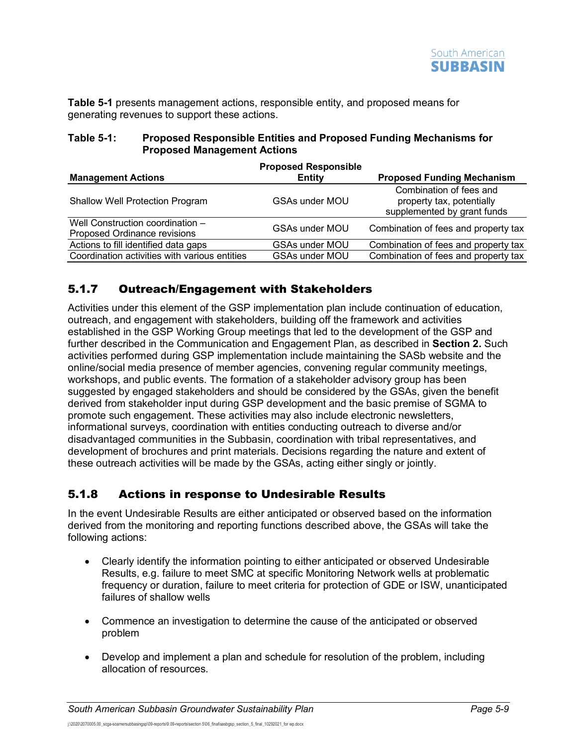**[Table](#page-9-2) 5-1** presents management actions, responsible entity, and proposed means for generating revenues to support these actions.

<span id="page-9-2"></span>

| Table 5-1: | <b>Proposed Responsible Entities and Proposed Funding Mechanisms for</b> |
|------------|--------------------------------------------------------------------------|
|            | <b>Proposed Management Actions</b>                                       |

|                                                                  | <b>Proposed Responsible</b> |                                                                                     |
|------------------------------------------------------------------|-----------------------------|-------------------------------------------------------------------------------------|
| <b>Management Actions</b>                                        | <b>Entity</b>               | <b>Proposed Funding Mechanism</b>                                                   |
| <b>Shallow Well Protection Program</b>                           | <b>GSAs under MOU</b>       | Combination of fees and<br>property tax, potentially<br>supplemented by grant funds |
| Well Construction coordination -<br>Proposed Ordinance revisions | <b>GSAs under MOU</b>       | Combination of fees and property tax                                                |
| Actions to fill identified data gaps                             | <b>GSAs under MOU</b>       | Combination of fees and property tax                                                |
| Coordination activities with various entities                    | <b>GSAs under MOU</b>       | Combination of fees and property tax                                                |

## <span id="page-9-0"></span>5.1.7 Outreach/Engagement with Stakeholders

Activities under this element of the GSP implementation plan include continuation of education, outreach, and engagement with stakeholders, building off the framework and activities established in the GSP Working Group meetings that led to the development of the GSP and further described in the Communication and Engagement Plan, as described in **Section 2.** Such activities performed during GSP implementation include maintaining the SASb website and the online/social media presence of member agencies, convening regular community meetings, workshops, and public events. The formation of a stakeholder advisory group has been suggested by engaged stakeholders and should be considered by the GSAs, given the benefit derived from stakeholder input during GSP development and the basic premise of SGMA to promote such engagement. These activities may also include electronic newsletters, informational surveys, coordination with entities conducting outreach to diverse and/or disadvantaged communities in the Subbasin, coordination with tribal representatives, and development of brochures and print materials. Decisions regarding the nature and extent of these outreach activities will be made by the GSAs, acting either singly or jointly.

## <span id="page-9-1"></span>5.1.8 Actions in response to Undesirable Results

In the event Undesirable Results are either anticipated or observed based on the information derived from the monitoring and reporting functions described above, the GSAs will take the following actions:

- Clearly identify the information pointing to either anticipated or observed Undesirable Results, e.g. failure to meet SMC at specific Monitoring Network wells at problematic frequency or duration, failure to meet criteria for protection of GDE or ISW, unanticipated failures of shallow wells
- Commence an investigation to determine the cause of the anticipated or observed problem
- Develop and implement a plan and schedule for resolution of the problem, including allocation of resources.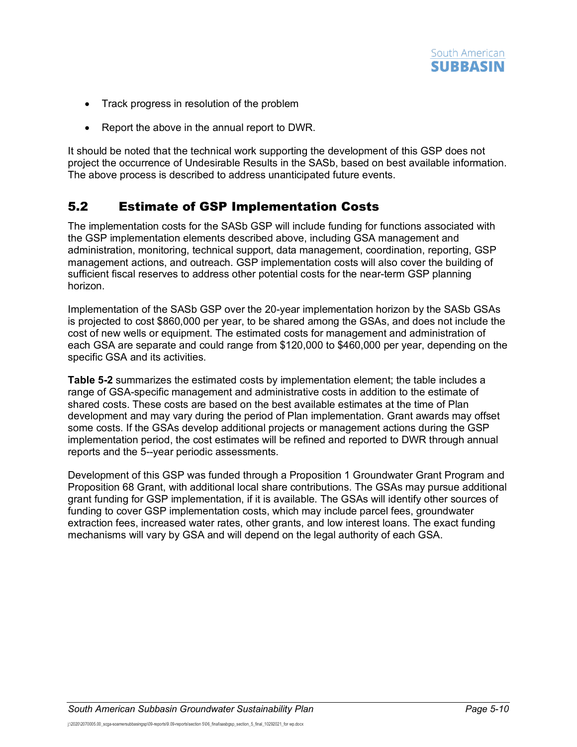

- Track progress in resolution of the problem
- Report the above in the annual report to DWR.

It should be noted that the technical work supporting the development of this GSP does not project the occurrence of Undesirable Results in the SASb, based on best available information. The above process is described to address unanticipated future events.

## <span id="page-10-0"></span>5.2 Estimate of GSP Implementation Costs

The implementation costs for the SASb GSP will include funding for functions associated with the GSP implementation elements described above, including GSA management and administration, monitoring, technical support, data management, coordination, reporting, GSP management actions, and outreach. GSP implementation costs will also cover the building of sufficient fiscal reserves to address other potential costs for the near-term GSP planning horizon.

Implementation of the SASb GSP over the 20-year implementation horizon by the SASb GSAs is projected to cost \$860,000 per year, to be shared among the GSAs, and does not include the cost of new wells or equipment. The estimated costs for management and administration of each GSA are separate and could range from \$120,000 to \$460,000 per year, depending on the specific GSA and its activities.

**[Table](#page-11-0) 5-2** summarizes the estimated costs by implementation element; the table includes a range of GSA-specific management and administrative costs in addition to the estimate of shared costs. These costs are based on the best available estimates at the time of Plan development and may vary during the period of Plan implementation. Grant awards may offset some costs. If the GSAs develop additional projects or management actions during the GSP implementation period, the cost estimates will be refined and reported to DWR through annual reports and the 5--year periodic assessments.

Development of this GSP was funded through a Proposition 1 Groundwater Grant Program and Proposition 68 Grant, with additional local share contributions. The GSAs may pursue additional grant funding for GSP implementation, if it is available. The GSAs will identify other sources of funding to cover GSP implementation costs, which may include parcel fees, groundwater extraction fees, increased water rates, other grants, and low interest loans. The exact funding mechanisms will vary by GSA and will depend on the legal authority of each GSA.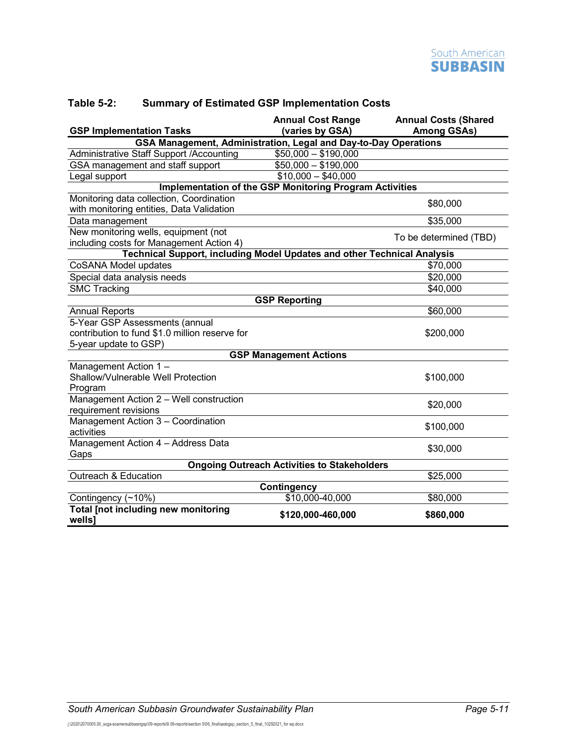| <b>GSP Implementation Tasks</b>                                                       | <b>Annual Cost Range</b><br>(varies by GSA)                    | <b>Annual Costs (Shared</b><br><b>Among GSAs)</b> |
|---------------------------------------------------------------------------------------|----------------------------------------------------------------|---------------------------------------------------|
| GSA Management, Administration, Legal and Day-to-Day Operations                       |                                                                |                                                   |
| Administrative Staff Support / Accounting                                             | $$50,000 - $190,000$                                           |                                                   |
| GSA management and staff support                                                      | $$50,000 - $190,000$                                           |                                                   |
| Legal support                                                                         | $$10,000 - $40,000$                                            |                                                   |
|                                                                                       | <b>Implementation of the GSP Monitoring Program Activities</b> |                                                   |
| Monitoring data collection, Coordination<br>with monitoring entities, Data Validation |                                                                | \$80,000                                          |
| Data management                                                                       |                                                                | \$35,000                                          |
| New monitoring wells, equipment (not<br>including costs for Management Action 4)      |                                                                | To be determined (TBD)                            |
| Technical Support, including Model Updates and other Technical Analysis               |                                                                |                                                   |
| CoSANA Model updates                                                                  |                                                                | \$70,000                                          |
| Special data analysis needs                                                           |                                                                | \$20,000                                          |
| <b>SMC Tracking</b>                                                                   |                                                                | \$40,000                                          |
|                                                                                       | <b>GSP Reporting</b>                                           |                                                   |
| <b>Annual Reports</b>                                                                 |                                                                | \$60,000                                          |
| 5-Year GSP Assessments (annual<br>contribution to fund \$1.0 million reserve for      |                                                                | \$200,000                                         |
| 5-year update to GSP)                                                                 | <b>GSP Management Actions</b>                                  |                                                   |
| Management Action 1-                                                                  |                                                                |                                                   |
| Shallow/Vulnerable Well Protection<br>Program                                         |                                                                | \$100,000                                         |
| Management Action 2 - Well construction<br>requirement revisions                      |                                                                | \$20,000                                          |
| Management Action 3 - Coordination<br>activities                                      |                                                                | \$100,000                                         |
| Management Action 4 - Address Data<br>Gaps                                            |                                                                | \$30,000                                          |
|                                                                                       | <b>Ongoing Outreach Activities to Stakeholders</b>             |                                                   |
| Outreach & Education                                                                  |                                                                | \$25,000                                          |
|                                                                                       | <b>Contingency</b>                                             |                                                   |
| Contingency (~10%)                                                                    | \$10,000-40,000                                                | \$80,000                                          |
| Total [not including new monitoring<br>wells]                                         | \$120,000-460,000                                              | \$860,000                                         |

#### <span id="page-11-0"></span>**Table 5-2: Summary of Estimated GSP Implementation Costs**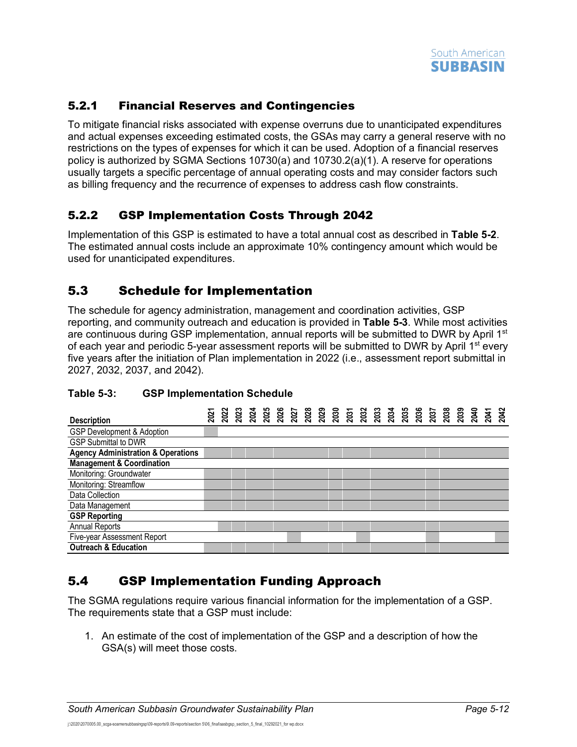

## <span id="page-12-0"></span>5.2.1 Financial Reserves and Contingencies

To mitigate financial risks associated with expense overruns due to unanticipated expenditures and actual expenses exceeding estimated costs, the GSAs may carry a general reserve with no restrictions on the types of expenses for which it can be used. Adoption of a financial reserves policy is authorized by SGMA Sections 10730(a) and 10730.2(a)(1). A reserve for operations usually targets a specific percentage of annual operating costs and may consider factors such as billing frequency and the recurrence of expenses to address cash flow constraints.

### <span id="page-12-1"></span>5.2.2 GSP Implementation Costs Through 2042

Implementation of this GSP is estimated to have a total annual cost as described in **[Table](#page-11-0) 5-2**. The estimated annual costs include an approximate 10% contingency amount which would be used for unanticipated expenditures.

## <span id="page-12-2"></span>5.3 Schedule for Implementation

The schedule for agency administration, management and coordination activities, GSP reporting, and community outreach and education is provided in **[Table](#page-12-4) 5-3**. While most activities are continuous during GSP implementation, annual reports will be submitted to DWR by April  $1<sup>st</sup>$ of each year and periodic 5-year assessment reports will be submitted to DWR by April  $1<sup>st</sup>$  every five years after the initiation of Plan implementation in 2022 (i.e., assessment report submittal in 2027, 2032, 2037, and 2042).

| <b>Description</b>                            |  |  |  |  |  |  |  |  |  |  |  |  |
|-----------------------------------------------|--|--|--|--|--|--|--|--|--|--|--|--|
| <b>GSP Development &amp; Adoption</b>         |  |  |  |  |  |  |  |  |  |  |  |  |
| <b>GSP Submittal to DWR</b>                   |  |  |  |  |  |  |  |  |  |  |  |  |
| <b>Agency Administration &amp; Operations</b> |  |  |  |  |  |  |  |  |  |  |  |  |
| <b>Management &amp; Coordination</b>          |  |  |  |  |  |  |  |  |  |  |  |  |
| Monitoring: Groundwater                       |  |  |  |  |  |  |  |  |  |  |  |  |
| Monitoring: Streamflow                        |  |  |  |  |  |  |  |  |  |  |  |  |
| Data Collection                               |  |  |  |  |  |  |  |  |  |  |  |  |
| Data Management                               |  |  |  |  |  |  |  |  |  |  |  |  |
| <b>GSP Reporting</b>                          |  |  |  |  |  |  |  |  |  |  |  |  |
| <b>Annual Reports</b>                         |  |  |  |  |  |  |  |  |  |  |  |  |
| Five-year Assessment Report                   |  |  |  |  |  |  |  |  |  |  |  |  |
| <b>Outreach &amp; Education</b>               |  |  |  |  |  |  |  |  |  |  |  |  |

#### <span id="page-12-4"></span>**Table 5-3: GSP Implementation Schedule**

## <span id="page-12-3"></span>5.4 GSP Implementation Funding Approach

The SGMA regulations require various financial information for the implementation of a GSP. The requirements state that a GSP must include:

1. An estimate of the cost of implementation of the GSP and a description of how the GSA(s) will meet those costs.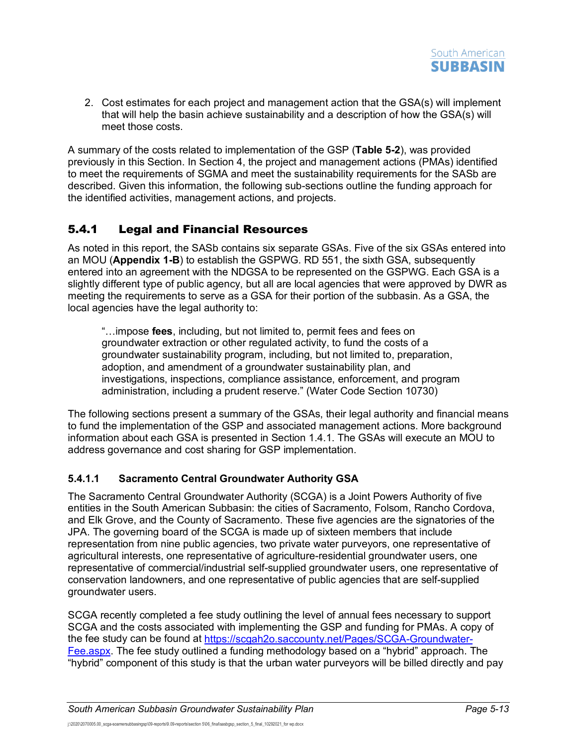

2. Cost estimates for each project and management action that the GSA(s) will implement that will help the basin achieve sustainability and a description of how the GSA(s) will meet those costs.

A summary of the costs related to implementation of the GSP (**Table 5-2**), was provided previously in this Section. In Section 4, the project and management actions (PMAs) identified to meet the requirements of SGMA and meet the sustainability requirements for the SASb are described. Given this information, the following sub-sections outline the funding approach for the identified activities, management actions, and projects.

## <span id="page-13-0"></span>5.4.1 Legal and Financial Resources

As noted in this report, the SASb contains six separate GSAs. Five of the six GSAs entered into an MOU (**Appendix 1-B**) to establish the GSPWG. RD 551, the sixth GSA, subsequently entered into an agreement with the NDGSA to be represented on the GSPWG. Each GSA is a slightly different type of public agency, but all are local agencies that were approved by DWR as meeting the requirements to serve as a GSA for their portion of the subbasin. As a GSA, the local agencies have the legal authority to:

"…impose **fees**, including, but not limited to, permit fees and fees on groundwater extraction or other regulated activity, to fund the costs of a groundwater sustainability program, including, but not limited to, preparation, adoption, and amendment of a groundwater sustainability plan, and investigations, inspections, compliance assistance, enforcement, and program administration, including a prudent reserve." (Water Code Section 10730)

The following sections present a summary of the GSAs, their legal authority and financial means to fund the implementation of the GSP and associated management actions. More background information about each GSA is presented in Section 1.4.1. The GSAs will execute an MOU to address governance and cost sharing for GSP implementation.

### **5.4.1.1 Sacramento Central Groundwater Authority GSA**

The Sacramento Central Groundwater Authority (SCGA) is a Joint Powers Authority of five entities in the South American Subbasin: the cities of Sacramento, Folsom, Rancho Cordova, and Elk Grove, and the County of Sacramento. These five agencies are the signatories of the JPA. The governing board of the SCGA is made up of sixteen members that include representation from nine public agencies, two private water purveyors, one representative of agricultural interests, one representative of agriculture-residential groundwater users, one representative of commercial/industrial self-supplied groundwater users, one representative of conservation landowners, and one representative of public agencies that are self-supplied groundwater users.

SCGA recently completed a fee study outlining the level of annual fees necessary to support SCGA and the costs associated with implementing the GSP and funding for PMAs. A copy of the fee study can be found at [https://scgah2o.saccounty.net/Pages/SCGA-Groundwater-](https://scgah2o.saccounty.net/Pages/SCGA-Groundwater-Fee.aspx)[Fee.aspx.](https://scgah2o.saccounty.net/Pages/SCGA-Groundwater-Fee.aspx) The fee study outlined a funding methodology based on a "hybrid" approach. The "hybrid" component of this study is that the urban water purveyors will be billed directly and pay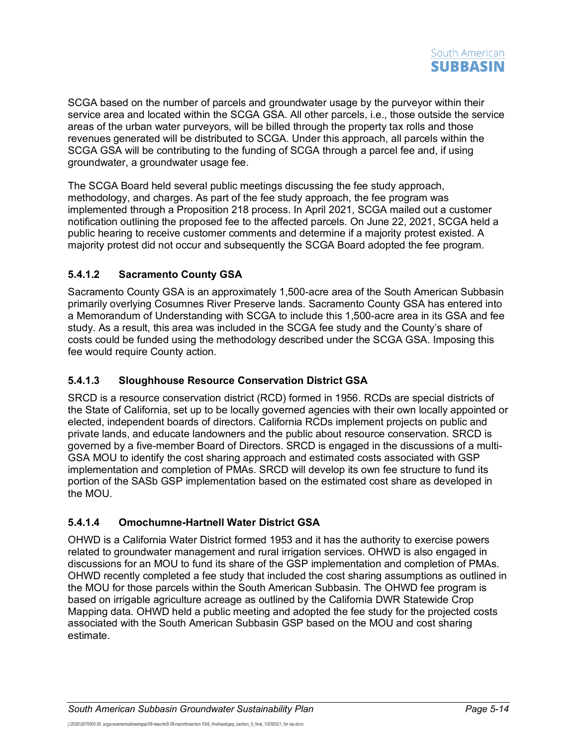SCGA based on the number of parcels and groundwater usage by the purveyor within their service area and located within the SCGA GSA. All other parcels, i.e., those outside the service areas of the urban water purveyors, will be billed through the property tax rolls and those revenues generated will be distributed to SCGA. Under this approach, all parcels within the SCGA GSA will be contributing to the funding of SCGA through a parcel fee and, if using groundwater, a groundwater usage fee.

The SCGA Board held several public meetings discussing the fee study approach, methodology, and charges. As part of the fee study approach, the fee program was implemented through a Proposition 218 process. In April 2021, SCGA mailed out a customer notification outlining the proposed fee to the affected parcels. On June 22, 2021, SCGA held a public hearing to receive customer comments and determine if a majority protest existed. A majority protest did not occur and subsequently the SCGA Board adopted the fee program.

### **5.4.1.2 Sacramento County GSA**

Sacramento County GSA is an approximately 1,500-acre area of the South American Subbasin primarily overlying Cosumnes River Preserve lands. Sacramento County GSA has entered into a Memorandum of Understanding with SCGA to include this 1,500-acre area in its GSA and fee study. As a result, this area was included in the SCGA fee study and the County's share of costs could be funded using the methodology described under the SCGA GSA. Imposing this fee would require County action.

### **5.4.1.3 Sloughhouse Resource Conservation District GSA**

SRCD is a resource conservation district (RCD) formed in 1956. RCDs are special districts of the State of California, set up to be locally governed agencies with their own locally appointed or elected, independent boards of directors. California RCDs implement projects on public and private lands, and educate landowners and the public about resource conservation. SRCD is governed by a five-member Board of Directors. SRCD is engaged in the discussions of a multi-GSA MOU to identify the cost sharing approach and estimated costs associated with GSP implementation and completion of PMAs. SRCD will develop its own fee structure to fund its portion of the SASb GSP implementation based on the estimated cost share as developed in the MOU.

#### **5.4.1.4 Omochumne-Hartnell Water District GSA**

OHWD is a California Water District formed 1953 and it has the authority to exercise powers related to groundwater management and rural irrigation services. OHWD is also engaged in discussions for an MOU to fund its share of the GSP implementation and completion of PMAs. OHWD recently completed a fee study that included the cost sharing assumptions as outlined in the MOU for those parcels within the South American Subbasin. The OHWD fee program is based on irrigable agriculture acreage as outlined by the California DWR Statewide Crop Mapping data. OHWD held a public meeting and adopted the fee study for the projected costs associated with the South American Subbasin GSP based on the MOU and cost sharing estimate.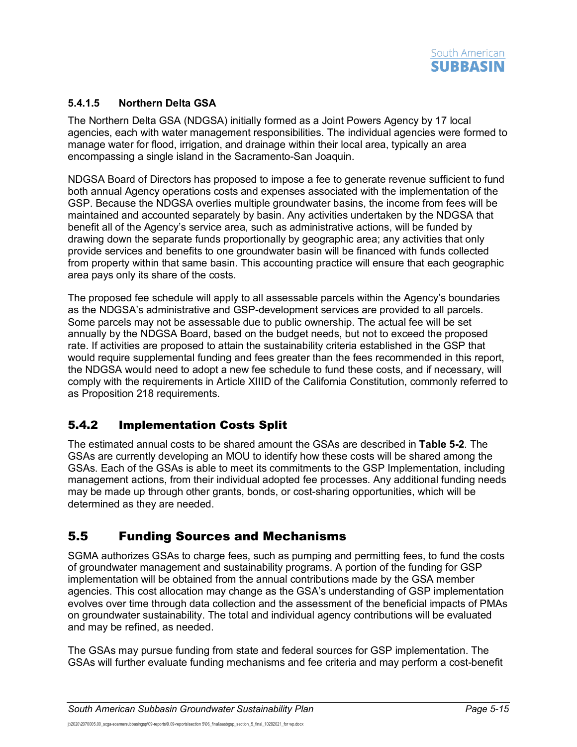

### **5.4.1.5 Northern Delta GSA**

The Northern Delta GSA (NDGSA) initially formed as a Joint Powers Agency by 17 local agencies, each with water management responsibilities. The individual agencies were formed to manage water for flood, irrigation, and drainage within their local area, typically an area encompassing a single island in the Sacramento-San Joaquin.

NDGSA Board of Directors has proposed to impose a fee to generate revenue sufficient to fund both annual Agency operations costs and expenses associated with the implementation of the GSP. Because the NDGSA overlies multiple groundwater basins, the income from fees will be maintained and accounted separately by basin. Any activities undertaken by the NDGSA that benefit all of the Agency's service area, such as administrative actions, will be funded by drawing down the separate funds proportionally by geographic area; any activities that only provide services and benefits to one groundwater basin will be financed with funds collected from property within that same basin. This accounting practice will ensure that each geographic area pays only its share of the costs.

The proposed fee schedule will apply to all assessable parcels within the Agency's boundaries as the NDGSA's administrative and GSP-development services are provided to all parcels. Some parcels may not be assessable due to public ownership. The actual fee will be set annually by the NDGSA Board, based on the budget needs, but not to exceed the proposed rate. If activities are proposed to attain the sustainability criteria established in the GSP that would require supplemental funding and fees greater than the fees recommended in this report, the NDGSA would need to adopt a new fee schedule to fund these costs, and if necessary, will comply with the requirements in Article XIIID of the California Constitution, commonly referred to as Proposition 218 requirements.

## <span id="page-15-0"></span>5.4.2 Implementation Costs Split

The estimated annual costs to be shared amount the GSAs are described in **[Table](#page-11-0) 5-2**. The GSAs are currently developing an MOU to identify how these costs will be shared among the GSAs. Each of the GSAs is able to meet its commitments to the GSP Implementation, including management actions, from their individual adopted fee processes. Any additional funding needs may be made up through other grants, bonds, or cost-sharing opportunities, which will be determined as they are needed.

## <span id="page-15-1"></span>5.5 Funding Sources and Mechanisms

SGMA authorizes GSAs to charge fees, such as pumping and permitting fees, to fund the costs of groundwater management and sustainability programs. A portion of the funding for GSP implementation will be obtained from the annual contributions made by the GSA member agencies. This cost allocation may change as the GSA's understanding of GSP implementation evolves over time through data collection and the assessment of the beneficial impacts of PMAs on groundwater sustainability. The total and individual agency contributions will be evaluated and may be refined, as needed.

The GSAs may pursue funding from state and federal sources for GSP implementation. The GSAs will further evaluate funding mechanisms and fee criteria and may perform a cost-benefit